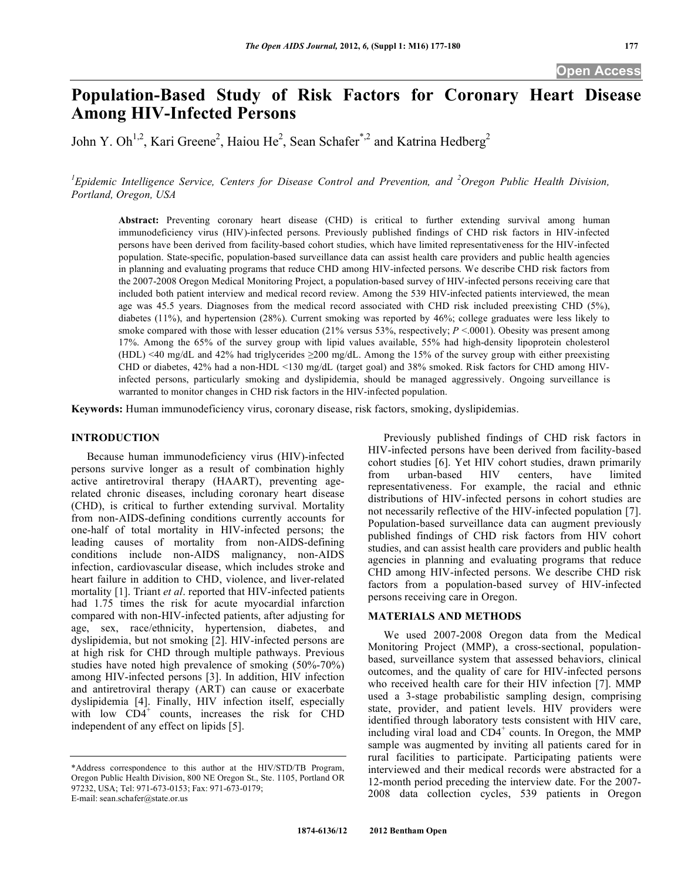# **Population-Based Study of Risk Factors for Coronary Heart Disease Among HIV-Infected Persons**

John Y. Oh<sup>1,2</sup>, Kari Greene<sup>2</sup>, Haiou He<sup>2</sup>, Sean Schafer<sup>\*,2</sup> and Katrina Hedberg<sup>2</sup>

<sup>1</sup> Epidemic Intelligence Service, Centers for Disease Control and Prevention, and <sup>2</sup> Oregon Public Health Division, *Portland, Oregon, USA* 

**Abstract:** Preventing coronary heart disease (CHD) is critical to further extending survival among human immunodeficiency virus (HIV)-infected persons. Previously published findings of CHD risk factors in HIV-infected persons have been derived from facility-based cohort studies, which have limited representativeness for the HIV-infected population. State-specific, population-based surveillance data can assist health care providers and public health agencies in planning and evaluating programs that reduce CHD among HIV-infected persons. We describe CHD risk factors from the 2007-2008 Oregon Medical Monitoring Project, a population-based survey of HIV-infected persons receiving care that included both patient interview and medical record review. Among the 539 HIV-infected patients interviewed, the mean age was 45.5 years. Diagnoses from the medical record associated with CHD risk included preexisting CHD (5%), diabetes (11%), and hypertension (28%). Current smoking was reported by 46%; college graduates were less likely to smoke compared with those with lesser education (21% versus 53%, respectively; *P* <.0001). Obesity was present among 17%. Among the 65% of the survey group with lipid values available, 55% had high-density lipoprotein cholesterol (HDL) <40 mg/dL and 42% had triglycerides 200 mg/dL. Among the 15% of the survey group with either preexisting CHD or diabetes, 42% had a non-HDL <130 mg/dL (target goal) and 38% smoked. Risk factors for CHD among HIVinfected persons, particularly smoking and dyslipidemia, should be managed aggressively. Ongoing surveillance is warranted to monitor changes in CHD risk factors in the HIV-infected population.

**Keywords:** Human immunodeficiency virus, coronary disease, risk factors, smoking, dyslipidemias.

#### **INTRODUCTION**

 Because human immunodeficiency virus (HIV)-infected persons survive longer as a result of combination highly active antiretroviral therapy (HAART), preventing agerelated chronic diseases, including coronary heart disease (CHD), is critical to further extending survival. Mortality from non-AIDS-defining conditions currently accounts for one-half of total mortality in HIV-infected persons; the leading causes of mortality from non-AIDS-defining conditions include non-AIDS malignancy, non-AIDS infection, cardiovascular disease, which includes stroke and heart failure in addition to CHD, violence, and liver-related mortality [1]. Triant *et al*. reported that HIV-infected patients had 1.75 times the risk for acute myocardial infarction compared with non-HIV-infected patients, after adjusting for age, sex, race/ethnicity, hypertension, diabetes, and dyslipidemia, but not smoking [2]. HIV-infected persons are at high risk for CHD through multiple pathways. Previous studies have noted high prevalence of smoking (50%-70%) among HIV-infected persons [3]. In addition, HIV infection and antiretroviral therapy (ART) can cause or exacerbate dyslipidemia [4]. Finally, HIV infection itself, especially with low  $CD4^+$  counts, increases the risk for CHD independent of any effect on lipids [5].

E-mail: sean.schafer@state.or.us

 Previously published findings of CHD risk factors in HIV-infected persons have been derived from facility-based cohort studies [6]. Yet HIV cohort studies, drawn primarily from urban-based HIV centers, have limited representativeness. For example, the racial and ethnic distributions of HIV-infected persons in cohort studies are not necessarily reflective of the HIV-infected population [7]. Population-based surveillance data can augment previously published findings of CHD risk factors from HIV cohort studies, and can assist health care providers and public health agencies in planning and evaluating programs that reduce CHD among HIV-infected persons. We describe CHD risk factors from a population-based survey of HIV-infected persons receiving care in Oregon.

#### **MATERIALS AND METHODS**

 We used 2007-2008 Oregon data from the Medical Monitoring Project (MMP), a cross-sectional, populationbased, surveillance system that assessed behaviors, clinical outcomes, and the quality of care for HIV-infected persons who received health care for their HIV infection [7]. MMP used a 3-stage probabilistic sampling design, comprising state, provider, and patient levels. HIV providers were identified through laboratory tests consistent with HIV care, including viral load and  $CD4^+$  counts. In Oregon, the MMP sample was augmented by inviting all patients cared for in rural facilities to participate. Participating patients were interviewed and their medical records were abstracted for a 12-month period preceding the interview date. For the 2007- 2008 data collection cycles, 539 patients in Oregon

<sup>\*</sup>Address correspondence to this author at the HIV/STD/TB Program, Oregon Public Health Division, 800 NE Oregon St., Ste. 1105, Portland OR 97232, USA; Tel: 971-673-0153; Fax: 971-673-0179;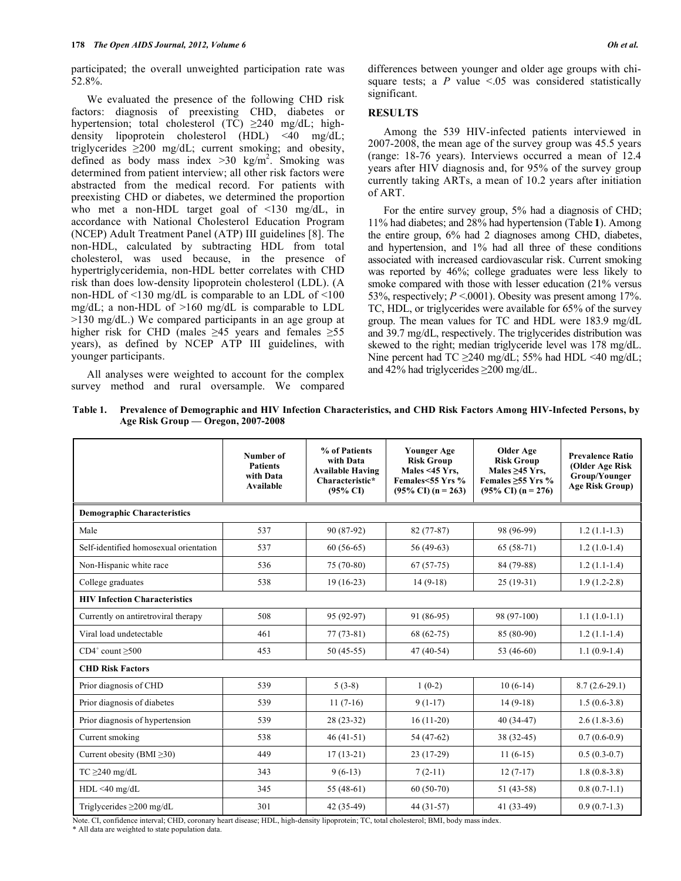participated; the overall unweighted participation rate was 52.8%.

 We evaluated the presence of the following CHD risk factors: diagnosis of preexisting CHD, diabetes or hypertension; total cholesterol (TC)  $\geq$ 240 mg/dL; highdensity lipoprotein cholesterol (HDL) <40 mg/dL; triglycerides  $\geq 200$  mg/dL; current smoking; and obesity, defined as body mass index  $>30$  kg/m<sup>2</sup>. Smoking was determined from patient interview; all other risk factors were abstracted from the medical record. For patients with preexisting CHD or diabetes, we determined the proportion who met a non-HDL target goal of <130 mg/dL, in accordance with National Cholesterol Education Program (NCEP) Adult Treatment Panel (ATP) III guidelines [8]. The non-HDL, calculated by subtracting HDL from total cholesterol, was used because, in the presence of hypertriglyceridemia, non-HDL better correlates with CHD risk than does low-density lipoprotein cholesterol (LDL). (A non-HDL of  $\leq$ 130 mg/dL is comparable to an LDL of  $\leq$ 100 mg/dL; a non-HDL of >160 mg/dL is comparable to LDL >130 mg/dL.) We compared participants in an age group at higher risk for CHD (males  $\geq 45$  years and females  $\geq 55$ years), as defined by NCEP ATP III guidelines, with younger participants.

 All analyses were weighted to account for the complex survey method and rural oversample. We compared differences between younger and older age groups with chisquare tests; a  $P$  value  $\leq 0.05$  was considered statistically significant.

# **RESULTS**

 Among the 539 HIV-infected patients interviewed in 2007-2008, the mean age of the survey group was 45.5 years (range: 18-76 years). Interviews occurred a mean of 12.4 years after HIV diagnosis and, for 95% of the survey group currently taking ARTs, a mean of 10.2 years after initiation of ART.

 For the entire survey group, 5% had a diagnosis of CHD; 11% had diabetes; and 28% had hypertension (Table **1**). Among the entire group, 6% had 2 diagnoses among CHD, diabetes, and hypertension, and 1% had all three of these conditions associated with increased cardiovascular risk. Current smoking was reported by 46%; college graduates were less likely to smoke compared with those with lesser education (21% versus 53%, respectively;  $P < 0.001$ ). Obesity was present among 17%. TC, HDL, or triglycerides were available for 65% of the survey group. The mean values for TC and HDL were 183.9 mg/dL and 39.7 mg/dL, respectively. The triglycerides distribution was skewed to the right; median triglyceride level was 178 mg/dL. Nine percent had TC  $\geq$ 240 mg/dL; 55% had HDL <40 mg/dL; and 42% had triglycerides  $\geq$ 200 mg/dL.

**Table 1. Prevalence of Demographic and HIV Infection Characteristics, and CHD Risk Factors Among HIV-Infected Persons, by Age Risk Group — Oregon, 2007-2008** 

|                                        | Number of<br><b>Patients</b><br>with Data<br>Available | % of Patients<br>with Data<br><b>Available Having</b><br>Characteristic*<br>$(95\% \text{ C}I)$ | <b>Younger Age</b><br><b>Risk Group</b><br>Males <45 Yrs.<br>Females<55 Yrs %<br>$(95\% \text{ CI})$ (n = 263) | <b>Older Age</b><br><b>Risk Group</b><br>Males $\geq$ 45 Yrs,<br>Females $\geq$ 55 Yrs %<br>$(95\% \text{ CI})$ (n = 276) | <b>Prevalence Ratio</b><br>(Older Age Risk<br>Group/Younger<br><b>Age Risk Group)</b> |
|----------------------------------------|--------------------------------------------------------|-------------------------------------------------------------------------------------------------|----------------------------------------------------------------------------------------------------------------|---------------------------------------------------------------------------------------------------------------------------|---------------------------------------------------------------------------------------|
| <b>Demographic Characteristics</b>     |                                                        |                                                                                                 |                                                                                                                |                                                                                                                           |                                                                                       |
| Male                                   | 537                                                    | 90 (87-92)                                                                                      | $82(77-87)$                                                                                                    | 98 (96-99)                                                                                                                | $1.2(1.1-1.3)$                                                                        |
| Self-identified homosexual orientation | 537                                                    | $60(56-65)$                                                                                     | $56(49-63)$                                                                                                    | $65(58-71)$                                                                                                               | $1.2(1.0-1.4)$                                                                        |
| Non-Hispanic white race                | 536                                                    | 75 (70-80)                                                                                      | $67(57-75)$                                                                                                    | 84 (79-88)                                                                                                                | $1.2(1.1-1.4)$                                                                        |
| College graduates                      | 538                                                    | $19(16-23)$                                                                                     | $14(9-18)$                                                                                                     | $25(19-31)$                                                                                                               | $1.9(1.2-2.8)$                                                                        |
| <b>HIV Infection Characteristics</b>   |                                                        |                                                                                                 |                                                                                                                |                                                                                                                           |                                                                                       |
| Currently on antiretroviral therapy    | 508                                                    | 95 (92-97)                                                                                      | $91(86-95)$                                                                                                    | 98 (97-100)                                                                                                               | $1.1(1.0-1.1)$                                                                        |
| Viral load undetectable                | 461                                                    | $77(73-81)$                                                                                     | $68(62-75)$                                                                                                    | 85 (80-90)                                                                                                                | $1.2(1.1-1.4)$                                                                        |
| $CD4^+$ count $>500$                   | 453                                                    | $50(45-55)$                                                                                     | $47(40-54)$                                                                                                    | 53 (46-60)                                                                                                                | $1.1(0.9-1.4)$                                                                        |
| <b>CHD Risk Factors</b>                |                                                        |                                                                                                 |                                                                                                                |                                                                                                                           |                                                                                       |
| Prior diagnosis of CHD                 | 539                                                    | $5(3-8)$                                                                                        | $1(0-2)$                                                                                                       | $10(6-14)$                                                                                                                | $8.7(2.6-29.1)$                                                                       |
| Prior diagnosis of diabetes            | 539                                                    | $11(7-16)$                                                                                      | $9(1-17)$                                                                                                      | $14(9-18)$                                                                                                                | $1.5(0.6-3.8)$                                                                        |
| Prior diagnosis of hypertension        | 539                                                    | $28(23-32)$                                                                                     | $16(11-20)$                                                                                                    | $40(34-47)$                                                                                                               | $2.6(1.8-3.6)$                                                                        |
| Current smoking                        | 538                                                    | $46(41-51)$                                                                                     | 54 (47-62)                                                                                                     | $38(32-45)$                                                                                                               | $0.7(0.6-0.9)$                                                                        |
| Current obesity (BMI $\geq$ 30)        | 449                                                    | $17(13-21)$                                                                                     | $23(17-29)$                                                                                                    | $11(6-15)$                                                                                                                | $0.5(0.3-0.7)$                                                                        |
| $TC \geq 240$ mg/dL                    | 343                                                    | $9(6-13)$                                                                                       | $7(2-11)$                                                                                                      | $12(7-17)$                                                                                                                | $1.8(0.8-3.8)$                                                                        |
| $HDL < 40$ mg/dL                       | 345                                                    | 55 $(48-61)$                                                                                    | $60(50-70)$                                                                                                    | $51(43-58)$                                                                                                               | $0.8(0.7-1.1)$                                                                        |
| Triglycerides $\geq$ 200 mg/dL         | 301                                                    | 42 (35-49)                                                                                      | $44(31-57)$                                                                                                    | 41 (33-49)                                                                                                                | $0.9(0.7-1.3)$                                                                        |

Note. CI, confidence interval; CHD, coronary heart disease; HDL, high-density lipoprotein; TC, total cholesterol; BMI, body mass index.

\* All data are weighted to state population data.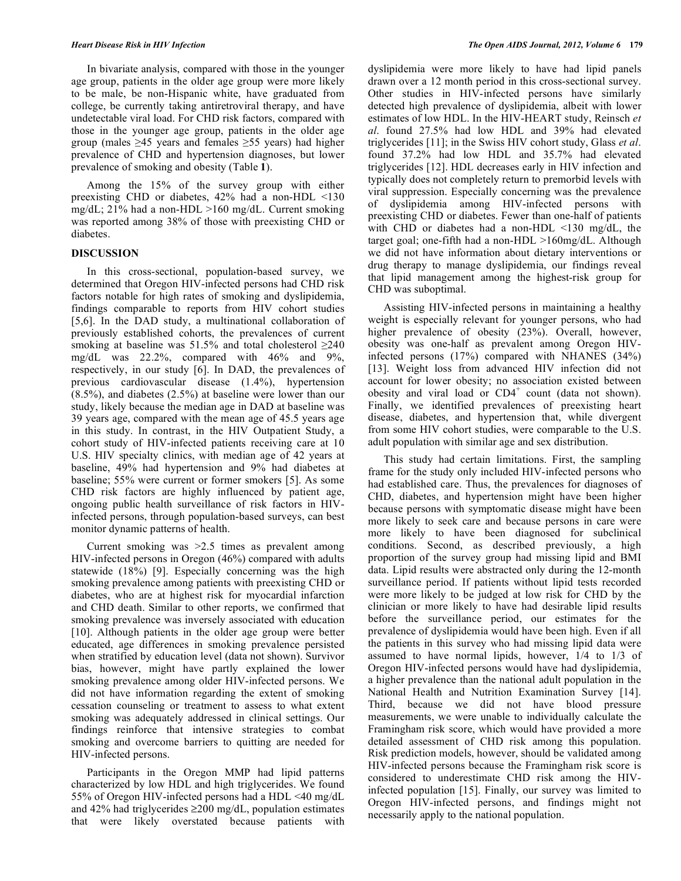In bivariate analysis, compared with those in the younger age group, patients in the older age group were more likely to be male, be non-Hispanic white, have graduated from college, be currently taking antiretroviral therapy, and have undetectable viral load. For CHD risk factors, compared with those in the younger age group, patients in the older age group (males  $\geq 45$  years and females  $\geq 55$  years) had higher prevalence of CHD and hypertension diagnoses, but lower prevalence of smoking and obesity (Table **1**).

 Among the 15% of the survey group with either preexisting CHD or diabetes, 42% had a non-HDL <130 mg/dL; 21% had a non-HDL >160 mg/dL. Current smoking was reported among 38% of those with preexisting CHD or diabetes.

# **DISCUSSION**

In this cross-sectional, population-based survey, we determined that Oregon HIV-infected persons had CHD risk factors notable for high rates of smoking and dyslipidemia, findings comparable to reports from HIV cohort studies [5,6]. In the DAD study, a multinational collaboration of previously established cohorts, the prevalences of current smoking at baseline was 51.5% and total cholesterol  $\geq 240$ mg/dL was 22.2%, compared with 46% and 9%, respectively, in our study [6]. In DAD, the prevalences of previous cardiovascular disease (1.4%), hypertension (8.5%), and diabetes (2.5%) at baseline were lower than our study, likely because the median age in DAD at baseline was 39 years age, compared with the mean age of 45.5 years age in this study. In contrast, in the HIV Outpatient Study, a cohort study of HIV-infected patients receiving care at 10 U.S. HIV specialty clinics, with median age of 42 years at baseline, 49% had hypertension and 9% had diabetes at baseline; 55% were current or former smokers [5]. As some CHD risk factors are highly influenced by patient age, ongoing public health surveillance of risk factors in HIVinfected persons, through population-based surveys, can best monitor dynamic patterns of health.

 Current smoking was >2.5 times as prevalent among HIV-infected persons in Oregon (46%) compared with adults statewide (18%) [9]. Especially concerning was the high smoking prevalence among patients with preexisting CHD or diabetes, who are at highest risk for myocardial infarction and CHD death. Similar to other reports, we confirmed that smoking prevalence was inversely associated with education [10]. Although patients in the older age group were better educated, age differences in smoking prevalence persisted when stratified by education level (data not shown). Survivor bias, however, might have partly explained the lower smoking prevalence among older HIV-infected persons. We did not have information regarding the extent of smoking cessation counseling or treatment to assess to what extent smoking was adequately addressed in clinical settings. Our findings reinforce that intensive strategies to combat smoking and overcome barriers to quitting are needed for HIV-infected persons.

 Participants in the Oregon MMP had lipid patterns characterized by low HDL and high triglycerides. We found 55% of Oregon HIV-infected persons had a HDL <40 mg/dL and 42% had triglycerides  $\geq$ 200 mg/dL, population estimates that were likely overstated because patients with

dyslipidemia were more likely to have had lipid panels drawn over a 12 month period in this cross-sectional survey. Other studies in HIV-infected persons have similarly detected high prevalence of dyslipidemia, albeit with lower estimates of low HDL. In the HIV-HEART study, Reinsch *et al*. found 27.5% had low HDL and 39% had elevated triglycerides [11]; in the Swiss HIV cohort study, Glass *et al*. found 37.2% had low HDL and 35.7% had elevated triglycerides [12]. HDL decreases early in HIV infection and typically does not completely return to premorbid levels with viral suppression. Especially concerning was the prevalence of dyslipidemia among HIV-infected persons with preexisting CHD or diabetes. Fewer than one-half of patients with CHD or diabetes had a non-HDL <130 mg/dL, the target goal; one-fifth had a non-HDL >160mg/dL. Although we did not have information about dietary interventions or drug therapy to manage dyslipidemia, our findings reveal that lipid management among the highest-risk group for CHD was suboptimal.

 Assisting HIV-infected persons in maintaining a healthy weight is especially relevant for younger persons, who had higher prevalence of obesity (23%). Overall, however, obesity was one-half as prevalent among Oregon HIVinfected persons (17%) compared with NHANES (34%) [13]. Weight loss from advanced HIV infection did not account for lower obesity; no association existed between obesity and viral load or  $CD4^+$  count (data not shown). Finally, we identified prevalences of preexisting heart disease, diabetes, and hypertension that, while divergent from some HIV cohort studies, were comparable to the U.S. adult population with similar age and sex distribution.

 This study had certain limitations. First, the sampling frame for the study only included HIV-infected persons who had established care. Thus, the prevalences for diagnoses of CHD, diabetes, and hypertension might have been higher because persons with symptomatic disease might have been more likely to seek care and because persons in care were more likely to have been diagnosed for subclinical conditions. Second, as described previously, a high proportion of the survey group had missing lipid and BMI data. Lipid results were abstracted only during the 12-month surveillance period. If patients without lipid tests recorded were more likely to be judged at low risk for CHD by the clinician or more likely to have had desirable lipid results before the surveillance period, our estimates for the prevalence of dyslipidemia would have been high. Even if all the patients in this survey who had missing lipid data were assumed to have normal lipids, however, 1/4 to 1/3 of Oregon HIV-infected persons would have had dyslipidemia, a higher prevalence than the national adult population in the National Health and Nutrition Examination Survey [14]. Third, because we did not have blood pressure measurements, we were unable to individually calculate the Framingham risk score, which would have provided a more detailed assessment of CHD risk among this population. Risk prediction models, however, should be validated among HIV-infected persons because the Framingham risk score is considered to underestimate CHD risk among the HIVinfected population [15]. Finally, our survey was limited to Oregon HIV-infected persons, and findings might not necessarily apply to the national population.